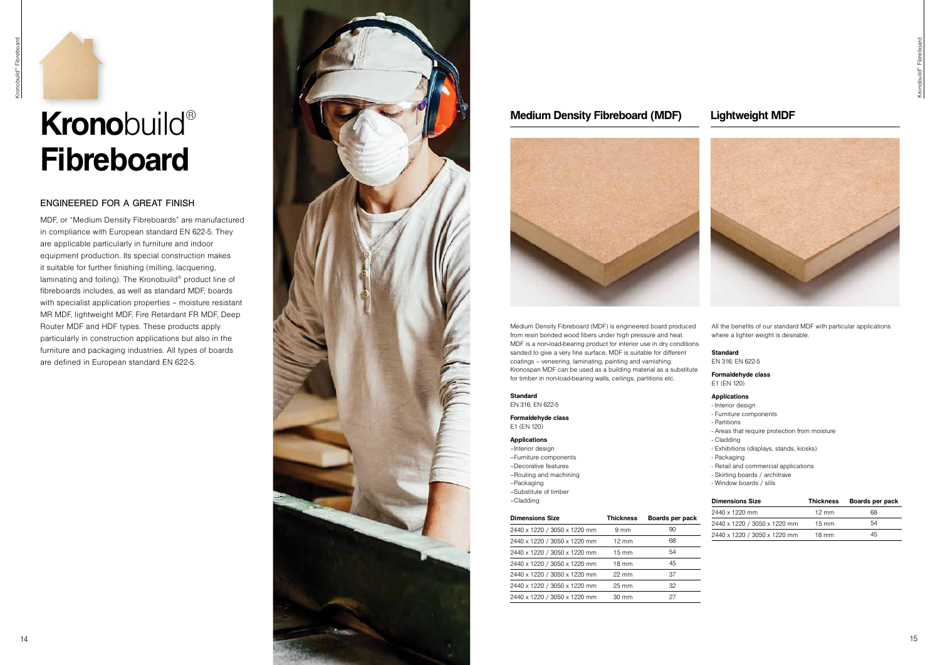# **Krono**build® **Fibreboard**

## ENGINEERED FOR A GREAT FINISH

MDF, or "Medium Density Fibreboards" are manufactured in compliance with European standard EN 622-5. They are applicable particularly in furniture and indoor equipment production. Its special construction makes it suitable for further finishing (milling, lacquering, laminating and foiling). The Kronobuild® product line of fibreboards includes, as well as standard MDF, boards with specialist application properties – moisture resistant MR MDF, lightweight MDF, Fire Retardant FR MDF, Deep Router MDF and HDF types. These products apply particularly in construction applications but also in the furniture and packaging industries. All types of boards are defined in European standard EN 622-5.







# **Medium Density Fibreboard (MDF) Lightweight MDF**



Medium Density Fibreboard (MDF) is engineered board produced from resin bonded wood fibers under high pressure and heat. MDF is a non-load-bearing product for interior use in dry conditions sanded to give a very fine surface. MDF is suitable for different coatings – veneering, laminating, painting and varnishing. Kronospan MDF can be used as a building material as a substitute for timber in non-load-bearing walls, ceilings, partitions etc.

### **Standard**

EN 316; EN 622-5

**Formaldehyde class**  E1 (EN 120)

### **Applications**

- –Interior design –Furniture components
- –Decorative features
- –Routing and machining
- –Packaging
- –Substitute of timber

All the benefits of our standard MDF with particular applications where a lighter weight is desirable.

### **Standard**

EN 316; EN 622-5

| -Cladding                    |                  |                 | <b>Dimensions Size</b>       | <b>Thickness</b> | Boards per pack |
|------------------------------|------------------|-----------------|------------------------------|------------------|-----------------|
|                              |                  |                 | 2440 x 1220 mm               | $12 \text{ mm}$  | 68              |
| <b>Dimensions Size</b>       | <b>Thickness</b> | Boards per pack | 2440 x 1220 / 3050 x 1220 mm | $15 \text{ mm}$  | 54              |
| 2440 x 1220 / 3050 x 1220 mm | $9 \text{ mm}$   | 90              |                              |                  | 45              |
| 2440 x 1220 / 3050 x 1220 mm | $12 \text{ mm}$  | 68              | 2440 x 1220 / 3050 x 1220 mm | $18 \text{ mm}$  |                 |
| 2440 x 1220 / 3050 x 1220 mm | $15 \text{ mm}$  | 54              |                              |                  |                 |
| 2440 x 1220 / 3050 x 1220 mm | 18 mm            | 45              |                              |                  |                 |
| 2440 x 1220 / 3050 x 1220 mm | $22 \text{ mm}$  | 37              |                              |                  |                 |
| 2440 x 1220 / 3050 x 1220 mm | $25 \text{ mm}$  | 32              |                              |                  |                 |
| 2440 x 1220 / 3050 x 1220 mm | $30 \text{ mm}$  | 27              |                              |                  |                 |

# **Formaldehyde class**

E1 (EN 120)

### **Applications**

- Interior design
- Furniture components
- Partitions
- Areas that require protection from moisture
- Cladding
- Exhibitions (displays, stands, kiosks)
- Packaging
- Retail and commercial applications
- Skirting boards / architrave
- Window boards / sills